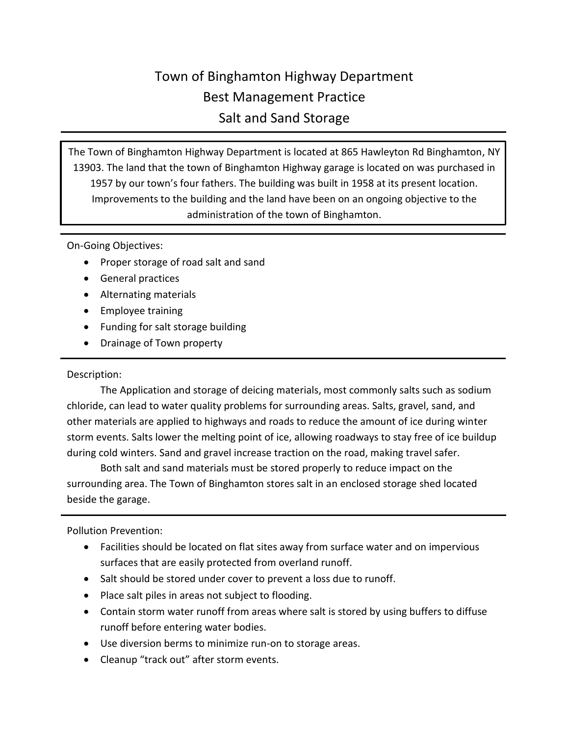## Town of Binghamton Highway Department Best Management Practice Salt and Sand Storage

The Town of Binghamton Highway Department is located at 865 Hawleyton Rd Binghamton, NY 13903. The land that the town of Binghamton Highway garage is located on was purchased in 1957 by our town's four fathers. The building was built in 1958 at its present location. Improvements to the building and the land have been on an ongoing objective to the administration of the town of Binghamton.

On-Going Objectives:

- Proper storage of road salt and sand
- General practices
- Alternating materials
- Employee training
- Funding for salt storage building
- Drainage of Town property

## Description:

The Application and storage of deicing materials, most commonly salts such as sodium chloride, can lead to water quality problems for surrounding areas. Salts, gravel, sand, and other materials are applied to highways and roads to reduce the amount of ice during winter storm events. Salts lower the melting point of ice, allowing roadways to stay free of ice buildup during cold winters. Sand and gravel increase traction on the road, making travel safer.

Both salt and sand materials must be stored properly to reduce impact on the surrounding area. The Town of Binghamton stores salt in an enclosed storage shed located beside the garage.

Pollution Prevention:

- Facilities should be located on flat sites away from surface water and on impervious surfaces that are easily protected from overland runoff.
- Salt should be stored under cover to prevent a loss due to runoff.
- Place salt piles in areas not subject to flooding.
- Contain storm water runoff from areas where salt is stored by using buffers to diffuse runoff before entering water bodies.
- Use diversion berms to minimize run-on to storage areas.
- Cleanup "track out" after storm events.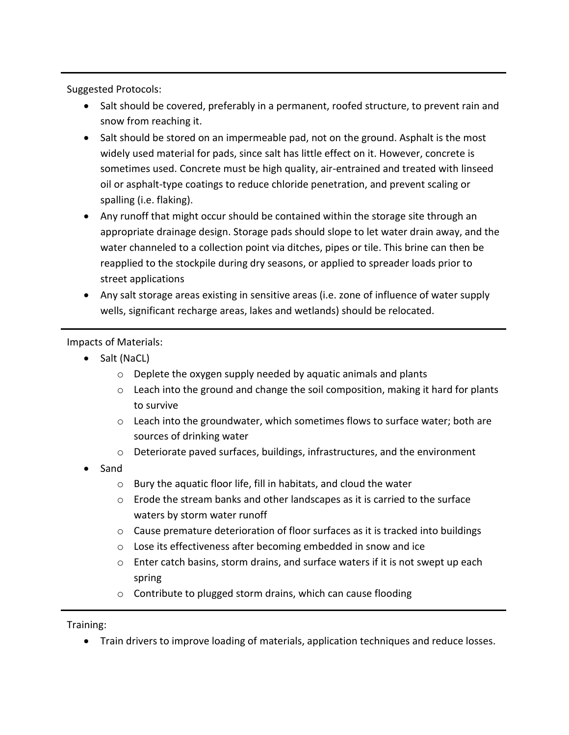Suggested Protocols:

- Salt should be covered, preferably in a permanent, roofed structure, to prevent rain and snow from reaching it.
- Salt should be stored on an impermeable pad, not on the ground. Asphalt is the most widely used material for pads, since salt has little effect on it. However, concrete is sometimes used. Concrete must be high quality, air-entrained and treated with linseed oil or asphalt-type coatings to reduce chloride penetration, and prevent scaling or spalling (i.e. flaking).
- Any runoff that might occur should be contained within the storage site through an appropriate drainage design. Storage pads should slope to let water drain away, and the water channeled to a collection point via ditches, pipes or tile. This brine can then be reapplied to the stockpile during dry seasons, or applied to spreader loads prior to street applications
- Any salt storage areas existing in sensitive areas (i.e. zone of influence of water supply wells, significant recharge areas, lakes and wetlands) should be relocated.

Impacts of Materials:

- Salt (NaCL)
	- o Deplete the oxygen supply needed by aquatic animals and plants
	- $\circ$  Leach into the ground and change the soil composition, making it hard for plants to survive
	- $\circ$  Leach into the groundwater, which sometimes flows to surface water; both are sources of drinking water
	- o Deteriorate paved surfaces, buildings, infrastructures, and the environment
- Sand
	- o Bury the aquatic floor life, fill in habitats, and cloud the water
	- $\circ$  Erode the stream banks and other landscapes as it is carried to the surface waters by storm water runoff
	- o Cause premature deterioration of floor surfaces as it is tracked into buildings
	- o Lose its effectiveness after becoming embedded in snow and ice
	- $\circ$  Enter catch basins, storm drains, and surface waters if it is not swept up each spring
	- o Contribute to plugged storm drains, which can cause flooding

Training:

Train drivers to improve loading of materials, application techniques and reduce losses.